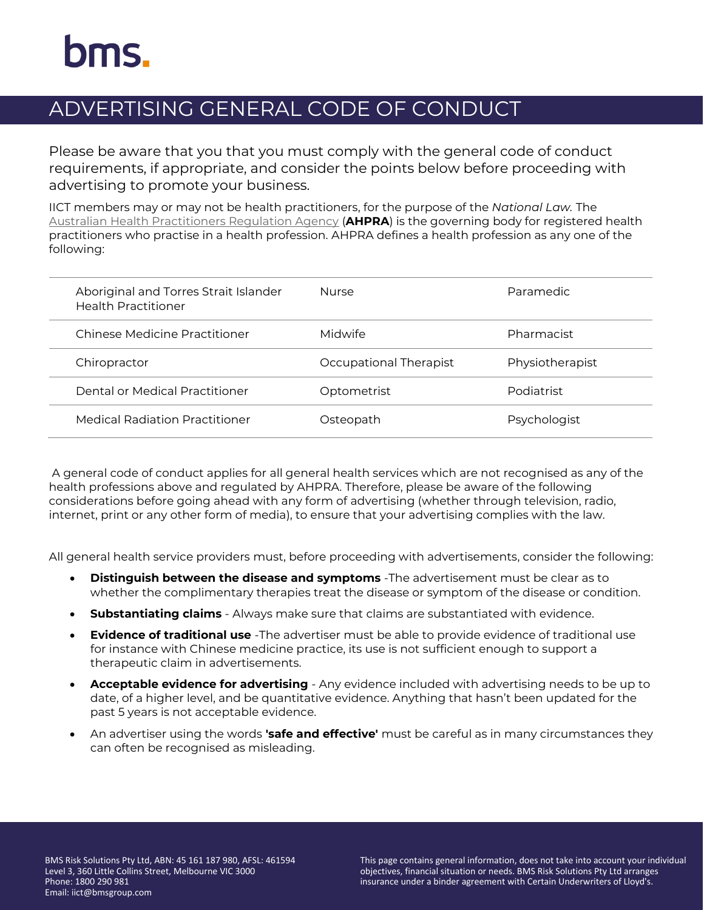## ADVERTISING GENERAL CODE OF CONDUCT

Please be aware that you that you must comply with the general code of conduct requirements, if appropriate, and consider the points below before proceeding with advertising to promote your business.

IICT members may or may not be health practitioners, for the purpose of the *National Law.* The [Australian Health Practitioners Regulation Agency](https://protect-eu.mimecast.com/s/VnPZCG5O4SB6rYDsKBmAJ?domain=ahpra.gov.au/) (**AHPRA**) is the governing body for registered health practitioners who practise in a health profession. AHPRA defines a health profession as any one of the following:

| Aboriginal and Torres Strait Islander<br><b>Health Practitioner</b> | <b>Nurse</b>           | Paramedic       |
|---------------------------------------------------------------------|------------------------|-----------------|
| Chinese Medicine Practitioner                                       | Midwife                | Pharmacist      |
| Chiropractor                                                        | Occupational Therapist | Physiotherapist |
| Dental or Medical Practitioner                                      | Optometrist            | Podiatrist      |
| <b>Medical Radiation Practitioner</b>                               | Osteopath              | Psychologist    |

A general code of conduct applies for all general health services which are not recognised as any of the health professions above and regulated by AHPRA. Therefore, please be aware of the following considerations before going ahead with any form of advertising (whether through television, radio, internet, print or any other form of media), to ensure that your advertising complies with the law.

All general health service providers must, before proceeding with advertisements, consider the following:

- **Distinguish between the disease and symptoms** -The advertisement must be clear as to whether the complimentary therapies treat the disease or symptom of the disease or condition.
- **Substantiating claims**  Always make sure that claims are substantiated with evidence.
- **Evidence of traditional use** -The advertiser must be able to provide evidence of traditional use for instance with Chinese medicine practice, its use is not sufficient enough to support a therapeutic claim in advertisements.
- **Acceptable evidence for advertising**  Any evidence included with advertising needs to be up to date, of a higher level, and be quantitative evidence. Anything that hasn't been updated for the past 5 years is not acceptable evidence.
- An advertiser using the words **'safe and effective'** must be careful as in many circumstances they can often be recognised as misleading.